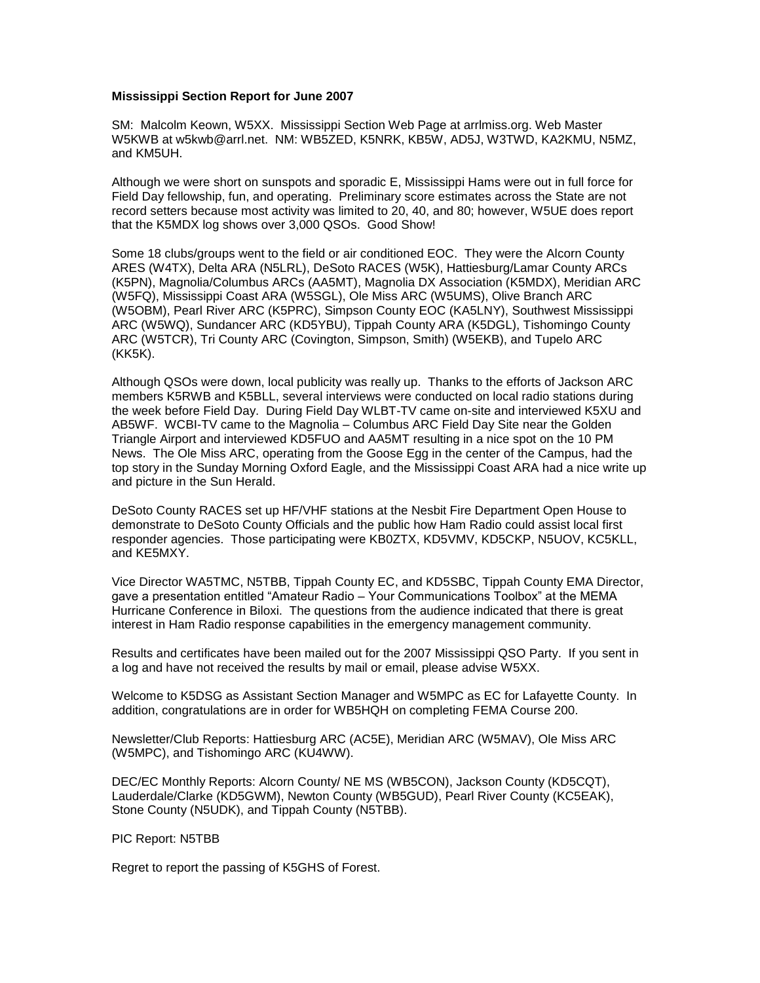## **Mississippi Section Report for June 2007**

SM: Malcolm Keown, W5XX. Mississippi Section Web Page at arrlmiss.org. Web Master W5KWB at w5kwb@arrl.net. NM: WB5ZED, K5NRK, KB5W, AD5J, W3TWD, KA2KMU, N5MZ, and KM5UH.

Although we were short on sunspots and sporadic E, Mississippi Hams were out in full force for Field Day fellowship, fun, and operating. Preliminary score estimates across the State are not record setters because most activity was limited to 20, 40, and 80; however, W5UE does report that the K5MDX log shows over 3,000 QSOs. Good Show!

Some 18 clubs/groups went to the field or air conditioned EOC. They were the Alcorn County ARES (W4TX), Delta ARA (N5LRL), DeSoto RACES (W5K), Hattiesburg/Lamar County ARCs (K5PN), Magnolia/Columbus ARCs (AA5MT), Magnolia DX Association (K5MDX), Meridian ARC (W5FQ), Mississippi Coast ARA (W5SGL), Ole Miss ARC (W5UMS), Olive Branch ARC (W5OBM), Pearl River ARC (K5PRC), Simpson County EOC (KA5LNY), Southwest Mississippi ARC (W5WQ), Sundancer ARC (KD5YBU), Tippah County ARA (K5DGL), Tishomingo County ARC (W5TCR), Tri County ARC (Covington, Simpson, Smith) (W5EKB), and Tupelo ARC (KK5K).

Although QSOs were down, local publicity was really up. Thanks to the efforts of Jackson ARC members K5RWB and K5BLL, several interviews were conducted on local radio stations during the week before Field Day. During Field Day WLBT-TV came on-site and interviewed K5XU and AB5WF. WCBI-TV came to the Magnolia – Columbus ARC Field Day Site near the Golden Triangle Airport and interviewed KD5FUO and AA5MT resulting in a nice spot on the 10 PM News. The Ole Miss ARC, operating from the Goose Egg in the center of the Campus, had the top story in the Sunday Morning Oxford Eagle, and the Mississippi Coast ARA had a nice write up and picture in the Sun Herald.

DeSoto County RACES set up HF/VHF stations at the Nesbit Fire Department Open House to demonstrate to DeSoto County Officials and the public how Ham Radio could assist local first responder agencies. Those participating were KB0ZTX, KD5VMV, KD5CKP, N5UOV, KC5KLL, and KE5MXY.

Vice Director WA5TMC, N5TBB, Tippah County EC, and KD5SBC, Tippah County EMA Director, gave a presentation entitled "Amateur Radio – Your Communications Toolbox" at the MEMA Hurricane Conference in Biloxi. The questions from the audience indicated that there is great interest in Ham Radio response capabilities in the emergency management community.

Results and certificates have been mailed out for the 2007 Mississippi QSO Party. If you sent in a log and have not received the results by mail or email, please advise W5XX.

Welcome to K5DSG as Assistant Section Manager and W5MPC as EC for Lafayette County. In addition, congratulations are in order for WB5HQH on completing FEMA Course 200.

Newsletter/Club Reports: Hattiesburg ARC (AC5E), Meridian ARC (W5MAV), Ole Miss ARC (W5MPC), and Tishomingo ARC (KU4WW).

DEC/EC Monthly Reports: Alcorn County/ NE MS (WB5CON), Jackson County (KD5CQT), Lauderdale/Clarke (KD5GWM), Newton County (WB5GUD), Pearl River County (KC5EAK), Stone County (N5UDK), and Tippah County (N5TBB).

## PIC Report: N5TBB

Regret to report the passing of K5GHS of Forest.